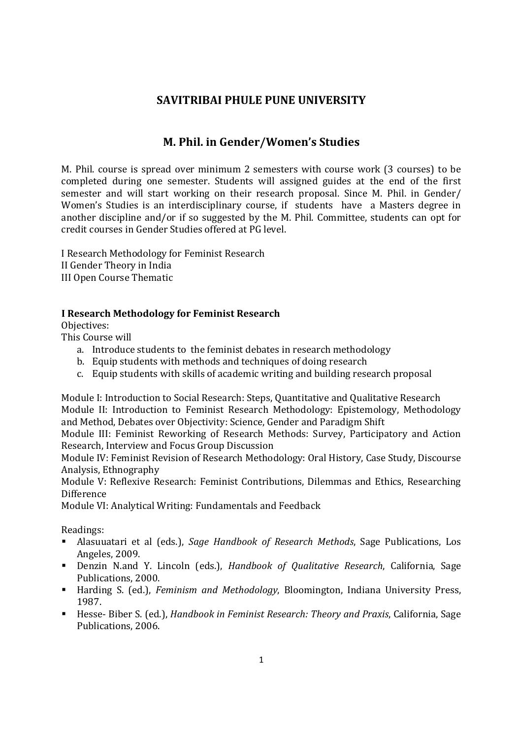## **SAVITRIBAI PHULE PUNE UNIVERSITY**

# **M. Phil. in Gender/Women's Studies**

M. Phil. course is spread over minimum 2 semesters with course work (3 courses) to be completed during one semester. Students will assigned guides at the end of the first semester and will start working on their research proposal. Since M. Phil. in Gender/ Women's Studies is an interdisciplinary course, if students have a Masters degree in another discipline and/or if so suggested by the M. Phil. Committee, students can opt for credit courses in Gender Studies offered at PG level.

I Research Methodology for Feminist Research II Gender Theory in India III Open Course Thematic

#### **I Research Methodology for Feminist Research**

Objectives:

This Course will

- a. Introduce students to the feminist debates in research methodology
- b. Equip students with methods and techniques of doing research
- c. Equip students with skills of academic writing and building research proposal

Module I: Introduction to Social Research: Steps, Quantitative and Qualitative Research Module II: Introduction to Feminist Research Methodology: Epistemology, Methodology and Method, Debates over Objectivity: Science, Gender and Paradigm Shift

Module III: Feminist Reworking of Research Methods: Survey, Participatory and Action Research, Interview and Focus Group Discussion

Module IV: Feminist Revision of Research Methodology: Oral History, Case Study, Discourse Analysis, Ethnography

Module V: Reflexive Research: Feminist Contributions, Dilemmas and Ethics, Researching Difference

Module VI: Analytical Writing: Fundamentals and Feedback

Readings:

- Alasuuatari et al (eds.), *Sage Handbook of Research Methods*, Sage Publications, Los Angeles, 2009.
- Denzin N.and Y. Lincoln (eds.), *Handbook of Qualitative Research*, California, Sage Publications, 2000.
- Harding S. (ed.), *Feminism and Methodology*, Bloomington, Indiana University Press, 1987.
- Hesse- Biber S. (ed.), *Handbook in Feminist Research: Theory and Praxis*, California, Sage Publications, 2006.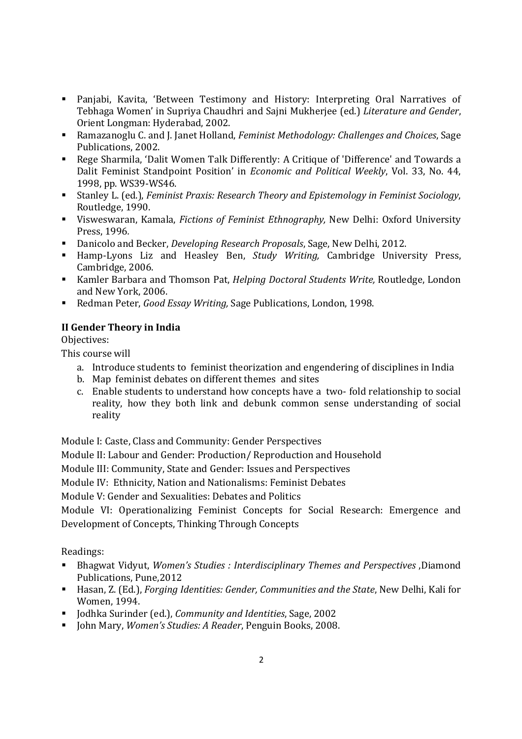- Panjabi, Kavita, 'Between Testimony and History: Interpreting Oral Narratives of Tebhaga Women' in Supriya Chaudhri and Sajni Mukherjee (ed.) *Literature and Gender*, Orient Longman: Hyderabad, 2002.
- Ramazanoglu C. and J. Janet Holland, *Feminist Methodology: Challenges and Choices*, Sage Publications, 2002.
- Rege Sharmila, 'Dalit Women Talk Differently: A Critique of 'Difference' and Towards a Dalit Feminist Standpoint Position' in *Economic and Political Weekly*, Vol. 33, No. 44, 1998, pp. WS39-WS46.
- Stanley L. (ed.), *Feminist Praxis: Research Theory and Epistemology in Feminist Sociology*, Routledge, 1990.
- Visweswaran, Kamala, *Fictions of Feminist Ethnography,* New Delhi: Oxford University Press, 1996*.*
- Danicolo and Becker, *Developing Research Proposals*, Sage, New Delhi, 2012.
- Hamp-Lyons Liz and Heasley Ben, *Study Writing,* Cambridge University Press, Cambridge, 2006.
- Kamler Barbara and Thomson Pat, *Helping Doctoral Students Write,* Routledge, London and New York, 2006.
- Redman Peter, *Good Essay Writing,* Sage Publications, London, 1998.

### **II Gender Theory in India**

Objectives:

This course will

- a. Introduce students to feminist theorization and engendering of disciplines in India
- b. Map feminist debates on different themes and sites
- c. Enable students to understand how concepts have a two- fold relationship to social reality, how they both link and debunk common sense understanding of social reality

Module I: Caste, Class and Community: Gender Perspectives

Module II: Labour and Gender: Production/ Reproduction and Household

Module III: Community, State and Gender: Issues and Perspectives

Module IV: Ethnicity, Nation and Nationalisms: Feminist Debates

Module V: Gender and Sexualities: Debates and Politics

Module VI: Operationalizing Feminist Concepts for Social Research: Emergence and Development of Concepts, Thinking Through Concepts

Readings:

- Bhagwat Vidyut, *Women's Studies : Interdisciplinary Themes and Perspectives* ,Diamond Publications, Pune,2012
- Hasan, Z. (Ed.), *Forging Identities: Gender, Communities and the State*, New Delhi, Kali for Women, 1994.
- Jodhka Surinder (ed.), *Community and Identities*, Sage, 2002
- John Mary, *Women's Studies: A Reader*, Penguin Books, 2008.